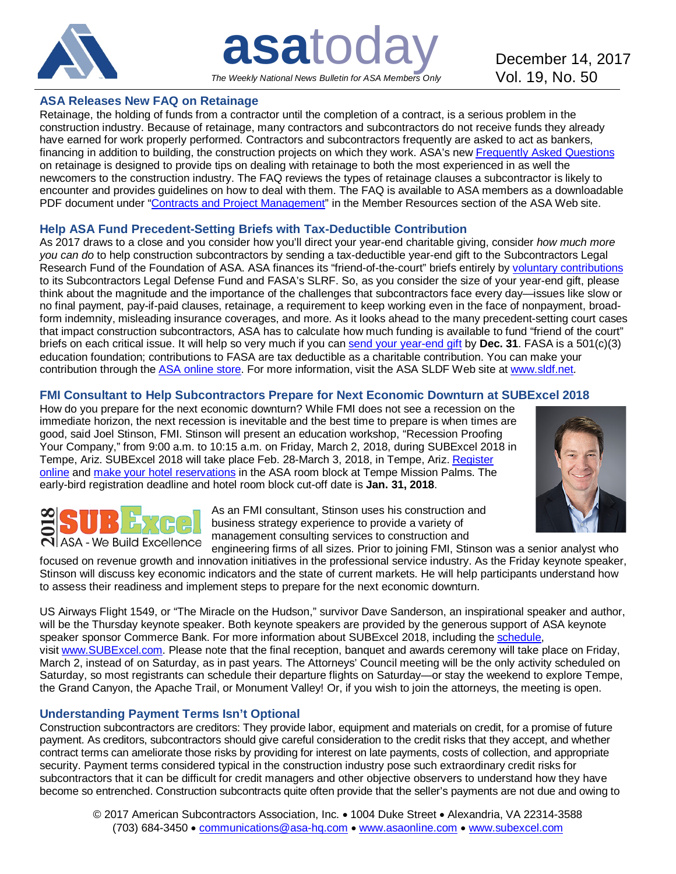

**asatoday** December 14, 2017 *The Weekly National News Bulletin for ASA Members Only*

### **ASA Releases New FAQ on Retainage**

Retainage, the holding of funds from a contractor until the completion of a contract, is a serious problem in the construction industry. Because of retainage, many contractors and subcontractors do not receive funds they already have earned for work properly performed. Contractors and subcontractors frequently are asked to act as bankers, financing in addition to building, the construction projects on which they work. ASA's new [Frequently Asked Questions](http://bit.ly/2jyuPjg) on retainage is designed to provide tips on dealing with retainage to both the most experienced in as well the newcomers to the construction industry. The FAQ reviews the types of retainage clauses a subcontractor is likely to encounter and provides guidelines on how to deal with them. The FAQ is available to ASA members as a downloadable PDF document under ["Contracts and Project Management"](http://bit.ly/1b9Uwt7) in the Member Resources section of the ASA Web site.

# **Help ASA Fund Precedent-Setting Briefs with Tax-Deductible Contribution**

As 2017 draws to a close and you consider how you'll direct your year-end charitable giving, consider *how much more you can do* to help construction subcontractors by sending a tax-deductible year-end gift to the Subcontractors Legal Research Fund of the Foundation of ASA. ASA finances its "friend-of-the-court" briefs entirely by [voluntary contributions](http://bit.ly/1TXJigc) to its Subcontractors Legal Defense Fund and FASA's SLRF. So, as you consider the size of your year-end gift, please think about the magnitude and the importance of the challenges that subcontractors face every day—issues like slow or no final payment, pay-if-paid clauses, retainage, a requirement to keep working even in the face of nonpayment, broadform indemnity, misleading insurance coverages, and more. As it looks ahead to the many precedent-setting court cases that impact construction subcontractors, ASA has to calculate how much funding is available to fund "friend of the court" briefs on each critical issue. It will help so very much if you can [send your year-end gift](http://bit.ly/1TXJigc) by **Dec. 31**. FASA is a 501(c)(3) education foundation; contributions to FASA are tax deductible as a charitable contribution. You can make your contribution through the [ASA online store.](http://bit.ly/1TXJigc) For more information, visit the ASA SLDF Web site at [www.sldf.net.](http://www.sldf.net/)

### **FMI Consultant to Help Subcontractors Prepare for Next Economic Downturn at SUBExcel 2018**

How do you prepare for the next economic downturn? While FMI does not see a recession on the immediate horizon, the next recession is inevitable and the best time to prepare is when times are good, said Joel Stinson, FMI. Stinson will present an education workshop, "Recession Proofing Your Company," from 9:00 a.m. to 10:15 a.m. on Friday, March 2, 2018, during SUBExcel 2018 in Tempe, Ariz. SUBExcel 2018 will take place Feb. 28-March 3, 2018, in Tempe, Ariz. [Register](http://bit.ly/2w8y1XQ)  [online](http://bit.ly/2w8y1XQ) and make [your hotel reservations](http://bit.ly/2j4xjox) in the ASA room block at Tempe Mission Palms. The early-bird registration deadline and hotel room block cut-off date is **Jan. 31, 2018**.



**ASA - We Build Excellence** 

As an FMI consultant, Stinson uses his construction and business strategy experience to provide a variety of management consulting services to construction and

engineering firms of all sizes. Prior to joining FMI, Stinson was a senior analyst who focused on revenue growth and innovation initiatives in the professional service industry. As the Friday keynote speaker, Stinson will discuss key economic indicators and the state of current markets. He will help participants understand how to assess their readiness and implement steps to prepare for the next economic downturn.

US Airways Flight 1549, or "The Miracle on the Hudson," survivor Dave Sanderson, an inspirational speaker and author, will be the Thursday keynote speaker. Both keynote speakers are provided by the generous support of ASA keynote speaker sponsor Commerce Bank. For more information about SUBExcel 2018, including the [schedule,](http://bit.ly/2iS39S4) visit [www.SUBExcel.com.](http://www.subexcel.com/) Please note that the final reception, banquet and awards ceremony will take place on Friday, March 2, instead of on Saturday, as in past years. The Attorneys' Council meeting will be the only activity scheduled on Saturday, so most registrants can schedule their departure flights on Saturday—or stay the weekend to explore Tempe, the Grand Canyon, the Apache Trail, or Monument Valley! Or, if you wish to join the attorneys, the meeting is open.

# **Understanding Payment Terms Isn't Optional**

Construction subcontractors are creditors: They provide labor, equipment and materials on credit, for a promise of future payment. As creditors, subcontractors should give careful consideration to the credit risks that they accept, and whether contract terms can ameliorate those risks by providing for interest on late payments, costs of collection, and appropriate security. Payment terms considered typical in the construction industry pose such extraordinary credit risks for subcontractors that it can be difficult for credit managers and other objective observers to understand how they have become so entrenched. Construction subcontracts quite often provide that the seller's payments are not due and owing to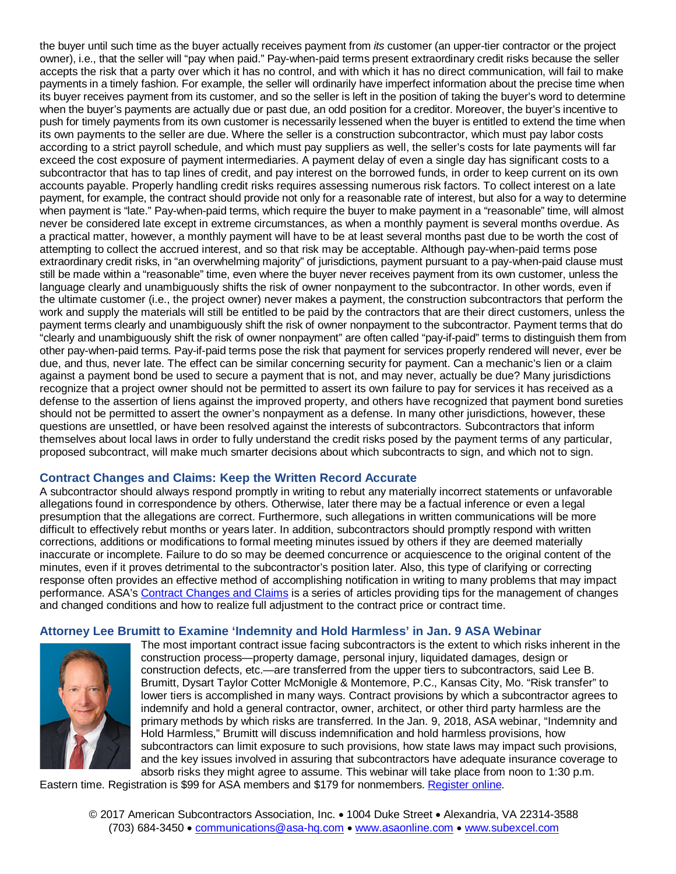the buyer until such time as the buyer actually receives payment from *its* customer (an upper-tier contractor or the project owner), i.e., that the seller will "pay when paid." Pay-when-paid terms present extraordinary credit risks because the seller accepts the risk that a party over which it has no control, and with which it has no direct communication, will fail to make payments in a timely fashion. For example, the seller will ordinarily have imperfect information about the precise time when its buyer receives payment from its customer, and so the seller is left in the position of taking the buyer's word to determine when the buyer's payments are actually due or past due, an odd position for a creditor. Moreover, the buyer's incentive to push for timely payments from its own customer is necessarily lessened when the buyer is entitled to extend the time when its own payments to the seller are due. Where the seller is a construction subcontractor, which must pay labor costs according to a strict payroll schedule, and which must pay suppliers as well, the seller's costs for late payments will far exceed the cost exposure of payment intermediaries. A payment delay of even a single day has significant costs to a subcontractor that has to tap lines of credit, and pay interest on the borrowed funds, in order to keep current on its own accounts payable. Properly handling credit risks requires assessing numerous risk factors. To collect interest on a late payment, for example, the contract should provide not only for a reasonable rate of interest, but also for a way to determine when payment is "late." Pay-when-paid terms, which require the buyer to make payment in a "reasonable" time, will almost never be considered late except in extreme circumstances, as when a monthly payment is several months overdue. As a practical matter, however, a monthly payment will have to be at least several months past due to be worth the cost of attempting to collect the accrued interest, and so that risk may be acceptable. Although pay-when-paid terms pose extraordinary credit risks, in "an overwhelming majority" of jurisdictions, payment pursuant to a pay-when-paid clause must still be made within a "reasonable" time, even where the buyer never receives payment from its own customer, unless the language clearly and unambiguously shifts the risk of owner nonpayment to the subcontractor. In other words, even if the ultimate customer (i.e., the project owner) never makes a payment, the construction subcontractors that perform the work and supply the materials will still be entitled to be paid by the contractors that are their direct customers, unless the payment terms clearly and unambiguously shift the risk of owner nonpayment to the subcontractor. Payment terms that do "clearly and unambiguously shift the risk of owner nonpayment" are often called "pay-if-paid" terms to distinguish them from other pay-when-paid terms. Pay-if-paid terms pose the risk that payment for services properly rendered will never, ever be due, and thus, never late. The effect can be similar concerning security for payment. Can a mechanic's lien or a claim against a payment bond be used to secure a payment that is not, and may never, actually be due? Many jurisdictions recognize that a project owner should not be permitted to assert its own failure to pay for services it has received as a defense to the assertion of liens against the improved property, and others have recognized that payment bond sureties should not be permitted to assert the owner's nonpayment as a defense. In many other jurisdictions, however, these questions are unsettled, or have been resolved against the interests of subcontractors. Subcontractors that inform themselves about local laws in order to fully understand the credit risks posed by the payment terms of any particular, proposed subcontract, will make much smarter decisions about which subcontracts to sign, and which not to sign.

# **Contract Changes and Claims: Keep the Written Record Accurate**

A subcontractor should always respond promptly in writing to rebut any materially incorrect statements or unfavorable allegations found in correspondence by others. Otherwise, later there may be a factual inference or even a legal presumption that the allegations are correct. Furthermore, such allegations in written communications will be more difficult to effectively rebut months or years later. In addition, subcontractors should promptly respond with written corrections, additions or modifications to formal meeting minutes issued by others if they are deemed materially inaccurate or incomplete. Failure to do so may be deemed concurrence or acquiescence to the original content of the minutes, even if it proves detrimental to the subcontractor's position later. Also, this type of clarifying or correcting response often provides an effective method of accomplishing notification in writing to many problems that may impact performance. ASA'[s Contract Changes and Claims](http://bit.ly/1CRsZuK) is a series of articles providing tips for the management of changes and changed conditions and how to realize full adjustment to the contract price or contract time.

# **Attorney Lee Brumitt to Examine 'Indemnity and Hold Harmless' in Jan. 9 ASA Webinar**



The most important contract issue facing subcontractors is the extent to which risks inherent in the construction process—property damage, personal injury, liquidated damages, design or construction defects, etc.—are transferred from the upper tiers to subcontractors, said Lee B. Brumitt, Dysart Taylor Cotter McMonigle & Montemore, P.C., Kansas City, Mo. "Risk transfer" to lower tiers is accomplished in many ways. Contract provisions by which a subcontractor agrees to indemnify and hold a general contractor, owner, architect, or other third party harmless are the primary methods by which risks are transferred. In the Jan. 9, 2018, ASA webinar, "Indemnity and Hold Harmless," Brumitt will discuss indemnification and hold harmless provisions, how subcontractors can limit exposure to such provisions, how state laws may impact such provisions, and the key issues involved in assuring that subcontractors have adequate insurance coverage to absorb risks they might agree to assume. This webinar will take place from noon to 1:30 p.m.

Eastern time. Registration is \$99 for ASA members and \$179 for nonmembers. [Register online.](http://bit.ly/2zm3uEw)